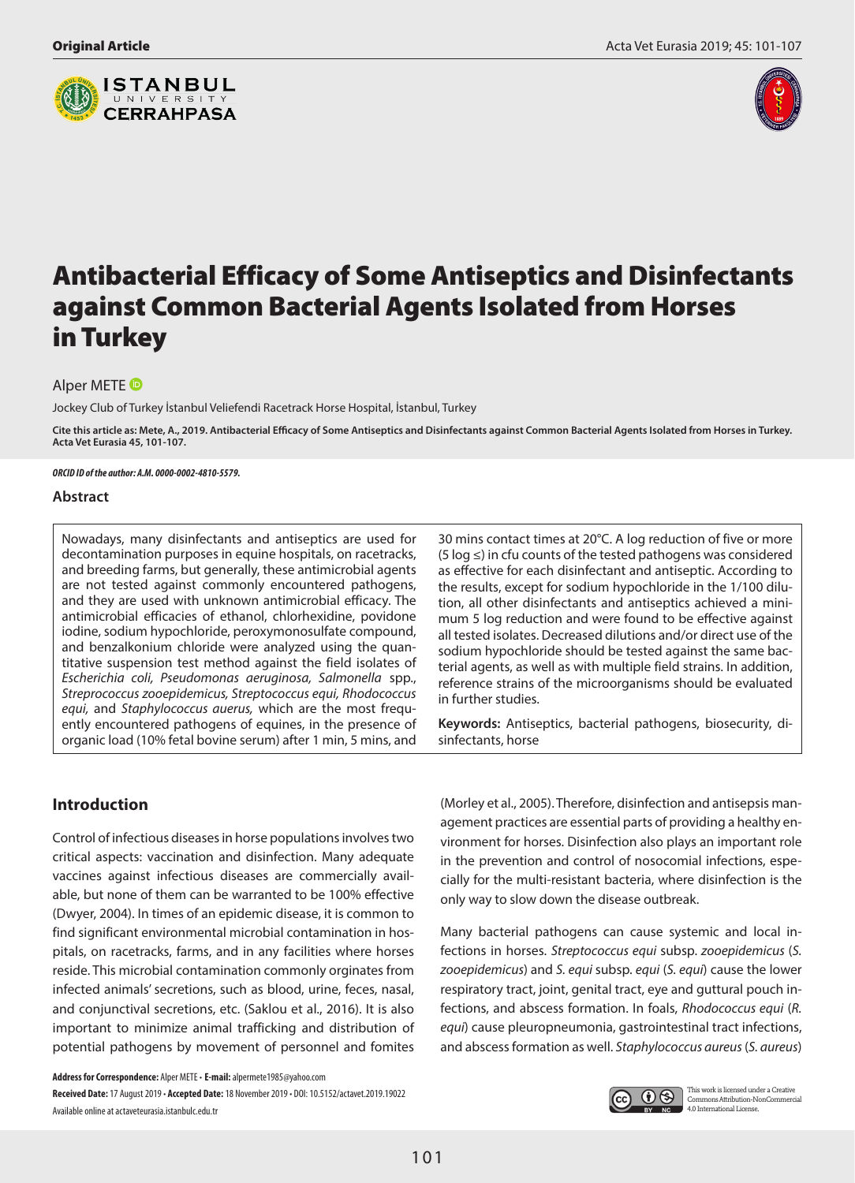



# Antibacterial Efficacy of Some Antiseptics and Disinfectants against Common Bacterial Agents Isolated from Horses in Turkey

AlperMETE<sup>O</sup>

Jockey Club of Turkey İstanbul Veliefendi Racetrack Horse Hospital, İstanbul, Turkey

**Cite this article as: Mete, A., 2019. Antibacterial Efficacy of Some Antiseptics and Disinfectants against Common Bacterial Agents Isolated from Horses in Turkey. Acta Vet Eurasia 45, 101-107.**

#### *ORCID ID of the author: A.M. 0000-0002-4810-5579.*

## **Abstract**

Nowadays, many disinfectants and antiseptics are used for decontamination purposes in equine hospitals, on racetracks, and breeding farms, but generally, these antimicrobial agents are not tested against commonly encountered pathogens, and they are used with unknown antimicrobial efficacy. The antimicrobial efficacies of ethanol, chlorhexidine, povidone iodine, sodium hypochloride, peroxymonosulfate compound, and benzalkonium chloride were analyzed using the quantitative suspension test method against the field isolates of *Escherichia coli, Pseudomonas aeruginosa, Salmonella* spp., *Streprococcus zooepidemicus, Streptococcus equi, Rhodococcus equi,* and *Staphylococcus auerus,* which are the most frequently encountered pathogens of equines, in the presence of organic load (10% fetal bovine serum) after 1 min, 5 mins, and

30 mins contact times at 20°C. A log reduction of five or more (5 log ≤) in cfu counts of the tested pathogens was considered as effective for each disinfectant and antiseptic. According to the results, except for sodium hypochloride in the 1/100 dilution, all other disinfectants and antiseptics achieved a minimum 5 log reduction and were found to be effective against all tested isolates. Decreased dilutions and/or direct use of the sodium hypochloride should be tested against the same bacterial agents, as well as with multiple field strains. In addition, reference strains of the microorganisms should be evaluated in further studies.

**Keywords:** Antiseptics, bacterial pathogens, biosecurity, disinfectants, horse

# **Introduction**

Control of infectious diseases in horse populations involves two critical aspects: vaccination and disinfection. Many adequate vaccines against infectious diseases are commercially available, but none of them can be warranted to be 100% effective (Dwyer, 2004). In times of an epidemic disease, it is common to find significant environmental microbial contamination in hospitals, on racetracks, farms, and in any facilities where horses reside. This microbial contamination commonly orginates from infected animals' secretions, such as blood, urine, feces, nasal, and conjunctival secretions, etc. (Saklou et al., 2016). It is also important to minimize animal trafficking and distribution of potential pathogens by movement of personnel and fomites

**Address for Correspondence:** Alper METE • **E-mail:** alpermete1985@yahoo.com **Received Date:** 17 August 2019 • **Accepted Date:** 18 November 2019 • DOI: 10.5152/actavet.2019.19022 Available online at actaveteurasia.istanbulc.edu.tr

(Morley et al., 2005). Therefore, disinfection and antisepsis management practices are essential parts of providing a healthy environment for horses. Disinfection also plays an important role in the prevention and control of nosocomial infections, especially for the multi-resistant bacteria, where disinfection is the only way to slow down the disease outbreak.

Many bacterial pathogens can cause systemic and local infections in horses. *Streptococcus equi* subsp. *zooepidemicus* (*S. zooepidemicus*) and *S. equi* subsp. *equi* (*S. equi*) cause the lower respiratory tract, joint, genital tract, eye and guttural pouch infections, and abscess formation. In foals, *Rhodococcus equi* (*R. equi*) cause pleuropneumonia, gastrointestinal tract infections, and abscess formation as well. *Staphylococcus aureus* (*S. aureus*)

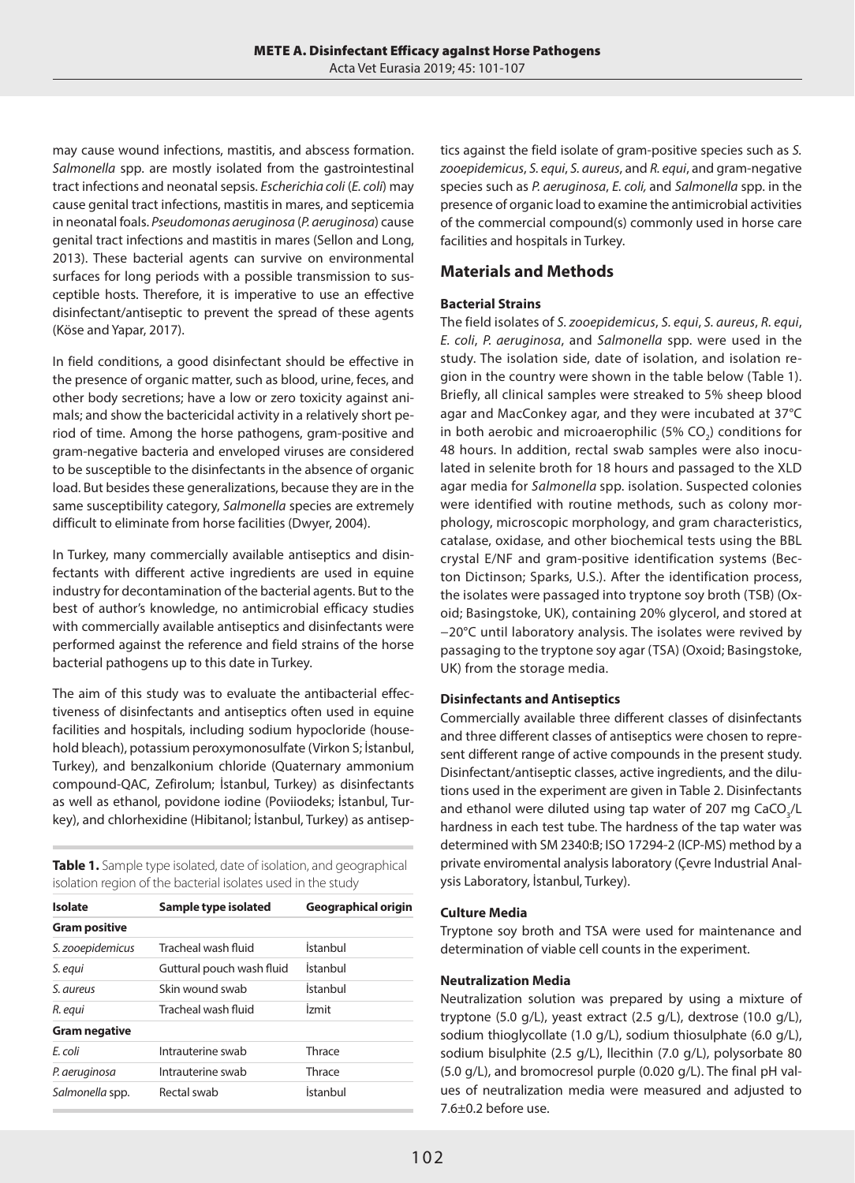may cause wound infections, mastitis, and abscess formation. *Salmonella* spp. are mostly isolated from the gastrointestinal tract infections and neonatal sepsis. *Escherichia coli* (*E. coli*) may cause genital tract infections, mastitis in mares, and septicemia in neonatal foals. *Pseudomonas aeruginosa* (*P. aeruginosa*) cause genital tract infections and mastitis in mares (Sellon and Long, 2013). These bacterial agents can survive on environmental surfaces for long periods with a possible transmission to susceptible hosts. Therefore, it is imperative to use an effective disinfectant/antiseptic to prevent the spread of these agents (Köse and Yapar, 2017).

In field conditions, a good disinfectant should be effective in the presence of organic matter, such as blood, urine, feces, and other body secretions; have a low or zero toxicity against animals; and show the bactericidal activity in a relatively short period of time. Among the horse pathogens, gram-positive and gram-negative bacteria and enveloped viruses are considered to be susceptible to the disinfectants in the absence of organic load. But besides these generalizations, because they are in the same susceptibility category, *Salmonella* species are extremely difficult to eliminate from horse facilities (Dwyer, 2004).

In Turkey, many commercially available antiseptics and disinfectants with different active ingredients are used in equine industry for decontamination of the bacterial agents. But to the best of author's knowledge, no antimicrobial efficacy studies with commercially available antiseptics and disinfectants were performed against the reference and field strains of the horse bacterial pathogens up to this date in Turkey.

The aim of this study was to evaluate the antibacterial effectiveness of disinfectants and antiseptics often used in equine facilities and hospitals, including sodium hypocloride (household bleach), potassium peroxymonosulfate (Virkon S; İstanbul, Turkey), and benzalkonium chloride (Quaternary ammonium compound-QAC, Zefirolum; İstanbul, Turkey) as disinfectants as well as ethanol, povidone iodine (Poviiodeks; İstanbul, Turkey), and chlorhexidine (Hibitanol; İstanbul, Turkey) as antisep-

**Table 1.** Sample type isolated, date of isolation, and geographical isolation region of the bacterial isolates used in the study

| Isolate              | Sample type isolated      | Geographical origin |
|----------------------|---------------------------|---------------------|
| <b>Gram positive</b> |                           |                     |
| S. zooepidemicus     | Tracheal wash fluid       | İstanbul            |
| S. equi              | Guttural pouch wash fluid | İstanbul            |
| S. aureus            | Skin wound swab           | İstanbul            |
| R. equi              | Tracheal wash fluid       | İzmit               |
| <b>Gram negative</b> |                           |                     |
| F. coli              | Intrauterine swab         | Thrace              |
| P. aeruginosa        | Intrauterine swab         | Thrace              |
| Salmonella spp.      | Rectal swab               | İstanbul            |

tics against the field isolate of gram-positive species such as *S. zooepidemicus*, *S. equi*, *S. aureus*, and *R. equi*, and gram-negative species such as *P. aeruginosa*, *E. coli,* and *Salmonella* spp. in the presence of organic load to examine the antimicrobial activities of the commercial compound(s) commonly used in horse care facilities and hospitals in Turkey.

# **Materials and Methods**

# **Bacterial Strains**

The field isolates of *S. zooepidemicus*, *S. equi*, *S. aureus*, *R. equi*, *E. coli*, *P. aeruginosa*, and *Salmonella* spp. were used in the study. The isolation side, date of isolation, and isolation region in the country were shown in the table below (Table 1). Briefly, all clinical samples were streaked to 5% sheep blood agar and MacConkey agar, and they were incubated at 37°C in both aerobic and microaerophilic (5% CO<sub>2</sub>) conditions for 48 hours. In addition, rectal swab samples were also inoculated in selenite broth for 18 hours and passaged to the XLD agar media for *Salmonella* spp. isolation. Suspected colonies were identified with routine methods, such as colony morphology, microscopic morphology, and gram characteristics, catalase, oxidase, and other biochemical tests using the BBL crystal E/NF and gram-positive identification systems (Becton Dictinson; Sparks, U.S.). After the identification process, the isolates were passaged into tryptone soy broth (TSB) (Oxoid; Basingstoke, UK), containing 20% glycerol, and stored at −20°C until laboratory analysis. The isolates were revived by passaging to the tryptone soy agar (TSA) (Oxoid; Basingstoke, UK) from the storage media.

# **Disinfectants and Antiseptics**

Commercially available three different classes of disinfectants and three different classes of antiseptics were chosen to represent different range of active compounds in the present study. Disinfectant/antiseptic classes, active ingredients, and the dilutions used in the experiment are given in Table 2. Disinfectants and ethanol were diluted using tap water of 207 mg  $\text{CaCO}_{3}/\text{L}$ hardness in each test tube. The hardness of the tap water was determined with SM 2340:B; ISO 17294-2 (ICP-MS) method by a private enviromental analysis laboratory (Çevre Industrial Analysis Laboratory, İstanbul, Turkey).

# **Culture Media**

Tryptone soy broth and TSA were used for maintenance and determination of viable cell counts in the experiment.

# **Neutralization Media**

Neutralization solution was prepared by using a mixture of tryptone (5.0 g/L), yeast extract (2.5 g/L), dextrose (10.0 g/L), sodium thioglycollate (1.0 g/L), sodium thiosulphate (6.0 g/L), sodium bisulphite (2.5 g/L), llecithin (7.0 g/L), polysorbate 80 (5.0 g/L), and bromocresol purple (0.020 g/L). The final pH values of neutralization media were measured and adjusted to 7.6±0.2 before use.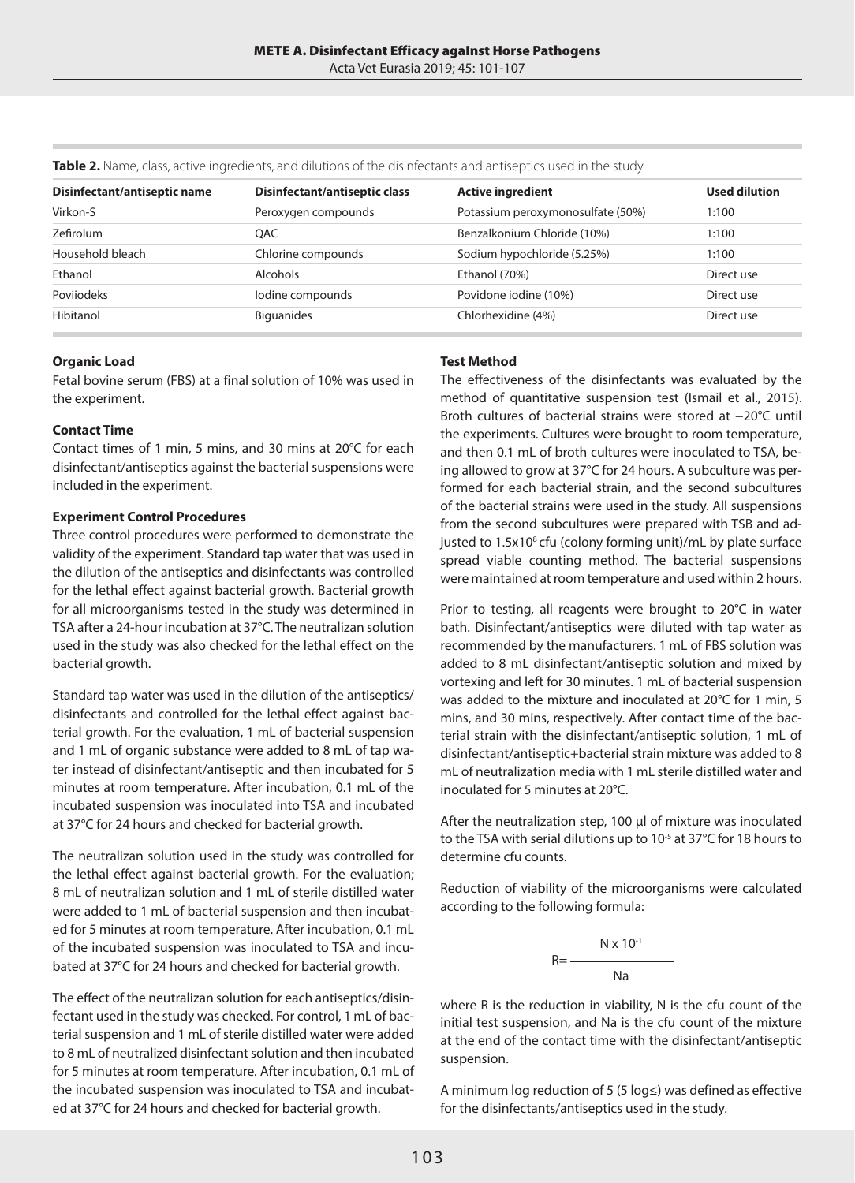| Disinfectant/antiseptic name | Disinfectant/antiseptic class | <b>Active ingredient</b>          | <b>Used dilution</b> |
|------------------------------|-------------------------------|-----------------------------------|----------------------|
| Virkon-S                     | Peroxygen compounds           | Potassium peroxymonosulfate (50%) | 1:100                |
| <b>Zefirolum</b>             | OAC.                          | Benzalkonium Chloride (10%)       | 1:100                |
| Household bleach             | Chlorine compounds            | Sodium hypochloride (5.25%)       | 1:100                |
| Ethanol                      | <b>Alcohols</b>               | Ethanol (70%)                     | Direct use           |
| Poviiodeks                   | lodine compounds              | Povidone iodine (10%)             | Direct use           |
| Hibitanol                    | <b>Biguanides</b>             | Chlorhexidine (4%)                | Direct use           |
|                              |                               |                                   |                      |

**Table 2.** Name, class, active ingredients, and dilutions of the disinfectants and antiseptics used in the study

#### **Organic Load**

Fetal bovine serum (FBS) at a final solution of 10% was used in the experiment.

#### **Contact Time**

Contact times of 1 min, 5 mins, and 30 mins at 20°C for each disinfectant/antiseptics against the bacterial suspensions were included in the experiment.

#### **Experiment Control Procedures**

Three control procedures were performed to demonstrate the validity of the experiment. Standard tap water that was used in the dilution of the antiseptics and disinfectants was controlled for the lethal effect against bacterial growth. Bacterial growth for all microorganisms tested in the study was determined in TSA after a 24-hour incubation at 37°C. The neutralizan solution used in the study was also checked for the lethal effect on the bacterial growth.

Standard tap water was used in the dilution of the antiseptics/ disinfectants and controlled for the lethal effect against bacterial growth. For the evaluation, 1 mL of bacterial suspension and 1 mL of organic substance were added to 8 mL of tap water instead of disinfectant/antiseptic and then incubated for 5 minutes at room temperature. After incubation, 0.1 mL of the incubated suspension was inoculated into TSA and incubated at 37°C for 24 hours and checked for bacterial growth.

The neutralizan solution used in the study was controlled for the lethal effect against bacterial growth. For the evaluation; 8 mL of neutralizan solution and 1 mL of sterile distilled water were added to 1 mL of bacterial suspension and then incubated for 5 minutes at room temperature. After incubation, 0.1 mL of the incubated suspension was inoculated to TSA and incubated at 37°C for 24 hours and checked for bacterial growth.

The effect of the neutralizan solution for each antiseptics/disinfectant used in the study was checked. For control, 1 mL of bacterial suspension and 1 mL of sterile distilled water were added to 8 mL of neutralized disinfectant solution and then incubated for 5 minutes at room temperature. After incubation, 0.1 mL of the incubated suspension was inoculated to TSA and incubated at 37°C for 24 hours and checked for bacterial growth.

## **Test Method**

The effectiveness of the disinfectants was evaluated by the method of quantitative suspension test (Ismail et al., 2015). Broth cultures of bacterial strains were stored at −20°C until the experiments. Cultures were brought to room temperature, and then 0.1 mL of broth cultures were inoculated to TSA, being allowed to grow at 37°C for 24 hours. A subculture was performed for each bacterial strain, and the second subcultures of the bacterial strains were used in the study. All suspensions from the second subcultures were prepared with TSB and adjusted to 1.5x10<sup>8</sup> cfu (colony forming unit)/mL by plate surface spread viable counting method. The bacterial suspensions were maintained at room temperature and used within 2 hours.

Prior to testing, all reagents were brought to 20°C in water bath. Disinfectant/antiseptics were diluted with tap water as recommended by the manufacturers. 1 mL of FBS solution was added to 8 mL disinfectant/antiseptic solution and mixed by vortexing and left for 30 minutes. 1 mL of bacterial suspension was added to the mixture and inoculated at 20°C for 1 min, 5 mins, and 30 mins, respectively. After contact time of the bacterial strain with the disinfectant/antiseptic solution, 1 mL of disinfectant/antiseptic+bacterial strain mixture was added to 8 mL of neutralization media with 1 mL sterile distilled water and inoculated for 5 minutes at 20°C.

After the neutralization step, 100 µl of mixture was inoculated to the TSA with serial dilutions up to 10<sup>-5</sup> at 37°C for 18 hours to determine cfu counts.

Reduction of viability of the microorganisms were calculated according to the following formula:

$$
R = \frac{N \times 10^{-1}}{Na}
$$

where R is the reduction in viability, N is the cfu count of the initial test suspension, and Na is the cfu count of the mixture at the end of the contact time with the disinfectant/antiseptic suspension.

A minimum log reduction of 5 (5 log≤) was defined as effective for the disinfectants/antiseptics used in the study.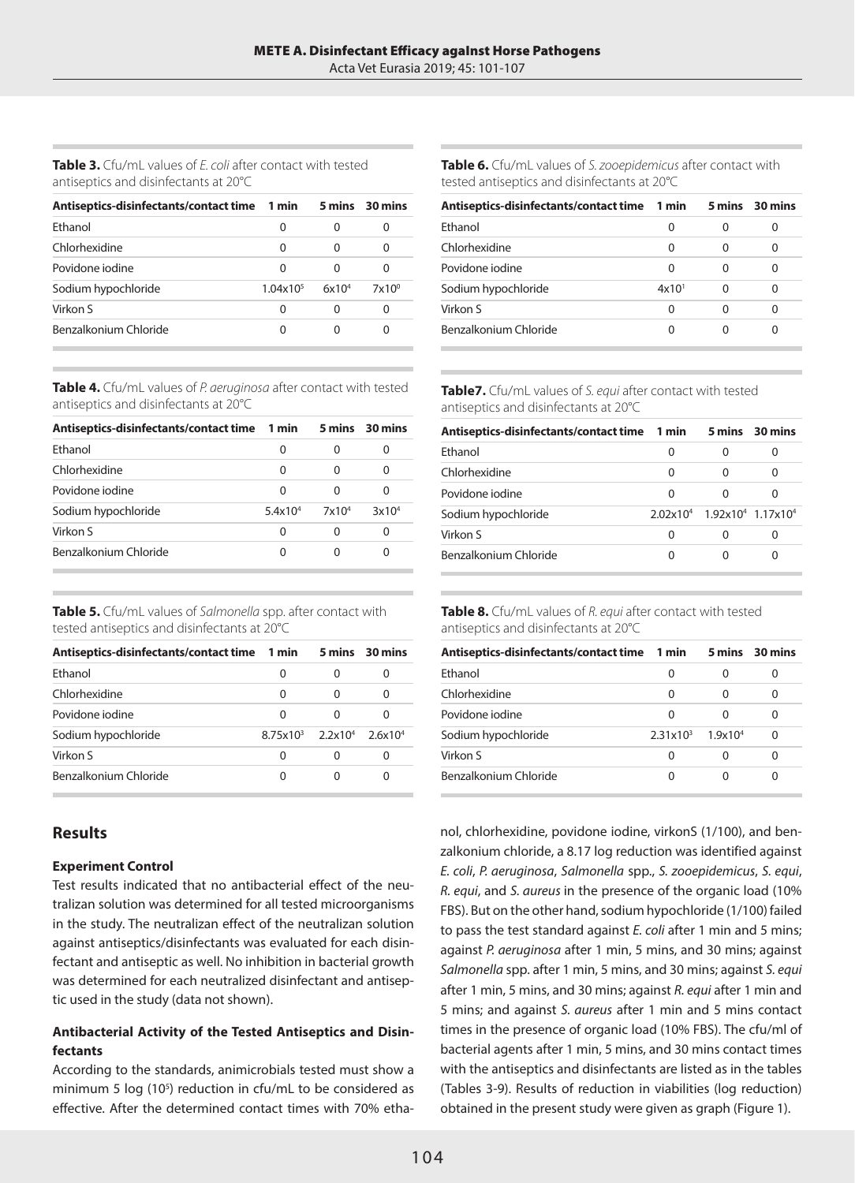**Table 3.** Cfu/mL values of *E. coli* after contact with tested antiseptics and disinfectants at 20°C

| Antiseptics-disinfectants/contact time 1 min |                      |                   | 5 mins 30 mins |
|----------------------------------------------|----------------------|-------------------|----------------|
| Fthanol                                      | 0                    | O                 | O              |
| Chlorhexidine                                | 0                    | O                 | 0              |
| Povidone jodine                              | 0                    | 0                 | 0              |
| Sodium hypochloride                          | $1.04 \times 10^{5}$ | 6x10 <sup>4</sup> | $7x10^{\circ}$ |
| Virkon S                                     | O                    | 0                 | 0              |
| Benzalkonium Chloride                        | O                    | O                 |                |

**Table 4.** Cfu/mL values of *P. aeruginosa* after contact with tested antiseptics and disinfectants at 20°C

| Antiseptics-disinfectants/contact time 1 min |         |               | 5 mins 30 mins    |
|----------------------------------------------|---------|---------------|-------------------|
| Fthanol                                      | Ω       | O             |                   |
| Chlorhexidine                                | 0       | 0             | O                 |
| Povidone jodine                              | ∩       | 0             |                   |
| Sodium hypochloride                          | 5.4x104 | $7\times10^4$ | 3x10 <sup>4</sup> |
| Virkon S                                     | 0       | 0             | O                 |
| Benzalkonium Chloride                        | O       | 0             |                   |

**Table 5.** Cfu/mL values of *Salmonella* spp. after contact with tested antiseptics and disinfectants at 20°C

| Antiseptics-disinfectants/contact time 1 min |                                   |   | 5 mins 30 mins |
|----------------------------------------------|-----------------------------------|---|----------------|
| Fthanol                                      | 0                                 | O | $\mathbf{O}$   |
| Chlorhexidine                                | 0                                 | 0 | O              |
| Povidone jodine                              | U                                 | O |                |
| Sodium hypochloride                          | $8.75x10^3$ $2.2x10^4$ $2.6x10^4$ |   |                |
| Virkon S                                     | 0                                 |   | $\mathbf{r}$   |
| Benzalkonium Chloride                        | O                                 |   |                |

# **Results**

#### **Experiment Control**

Test results indicated that no antibacterial effect of the neutralizan solution was determined for all tested microorganisms in the study. The neutralizan effect of the neutralizan solution against antiseptics/disinfectants was evaluated for each disinfectant and antiseptic as well. No inhibition in bacterial growth was determined for each neutralized disinfectant and antiseptic used in the study (data not shown).

# **Antibacterial Activity of the Tested Antiseptics and Disinfectants**

According to the standards, animicrobials tested must show a minimum 5 log (10<sup>5</sup>) reduction in cfu/mL to be considered as effective. After the determined contact times with 70% etha**Table 6.** Cfu/mL values of *S. zooepidemicus* after contact with tested antiseptics and disinfectants at 20°C

| Antiseptics-disinfectants/contact time | 1 min             |          | 5 mins 30 mins |
|----------------------------------------|-------------------|----------|----------------|
| Fthanol                                | 0                 | 0        |                |
| Chlorhexidine                          | 0                 | 0        |                |
| Povidone jodine                        | O                 | 0        |                |
| Sodium hypochloride                    | 4x10 <sup>1</sup> | $\Omega$ |                |
| Virkon S                               | 0                 | 0        | $\Omega$       |
| Benzalkonium Chloride                  |                   | ∩        |                |

**Table7.** Cfu/mL values of *S. equi* after contact with tested antiseptics and disinfectants at 20°C

| Antiseptics-disinfectants/contact time 1 min |                      |   | 5 mins 30 mins                            |
|----------------------------------------------|----------------------|---|-------------------------------------------|
| Fthanol                                      | 0                    | 0 |                                           |
| Chlorhexidine                                | 0                    | 0 |                                           |
| Povidone jodine                              | 0                    | ∩ |                                           |
| Sodium hypochloride                          | 2.02x10 <sup>4</sup> |   | 1.92x10 <sup>4</sup> 1.17x10 <sup>4</sup> |
| Virkon S                                     | 0                    | 0 |                                           |
| Benzalkonium Chloride                        | ∩                    | ∩ |                                           |

**Table 8.** Cfu/mL values of *R. equi* after contact with tested antiseptics and disinfectants at 20°C

| Antiseptics-disinfectants/contact time 1 min |                      |            | 5 mins 30 mins |
|----------------------------------------------|----------------------|------------|----------------|
| Fthanol                                      | 0                    | 0          |                |
| Chlorhexidine                                | 0                    | 0          |                |
| Povidone jodine                              | O                    | ∩          |                |
| Sodium hypochloride                          | 2.31x10 <sup>3</sup> | $1.9x10^4$ | 0              |
| Virkon S                                     | O                    | 0          | O              |
| Benzalkonium Chloride                        |                      |            |                |

nol, chlorhexidine, povidone iodine, virkonS (1/100), and benzalkonium chloride, a 8.17 log reduction was identified against *E. coli*, *P. aeruginosa*, *Salmonella* spp., *S. zooepidemicus*, *S. equi*, *R. equi*, and *S. aureus* in the presence of the organic load (10% FBS). But on the other hand, sodium hypochloride (1/100) failed to pass the test standard against *E. coli* after 1 min and 5 mins; against *P. aeruginosa* after 1 min, 5 mins, and 30 mins; against *Salmonella* spp. after 1 min, 5 mins, and 30 mins; against *S. equi* after 1 min, 5 mins, and 30 mins; against *R. equi* after 1 min and 5 mins; and against *S. aureus* after 1 min and 5 mins contact times in the presence of organic load (10% FBS). The cfu/ml of bacterial agents after 1 min, 5 mins, and 30 mins contact times with the antiseptics and disinfectants are listed as in the tables (Tables 3-9). Results of reduction in viabilities (log reduction) obtained in the present study were given as graph (Figure 1).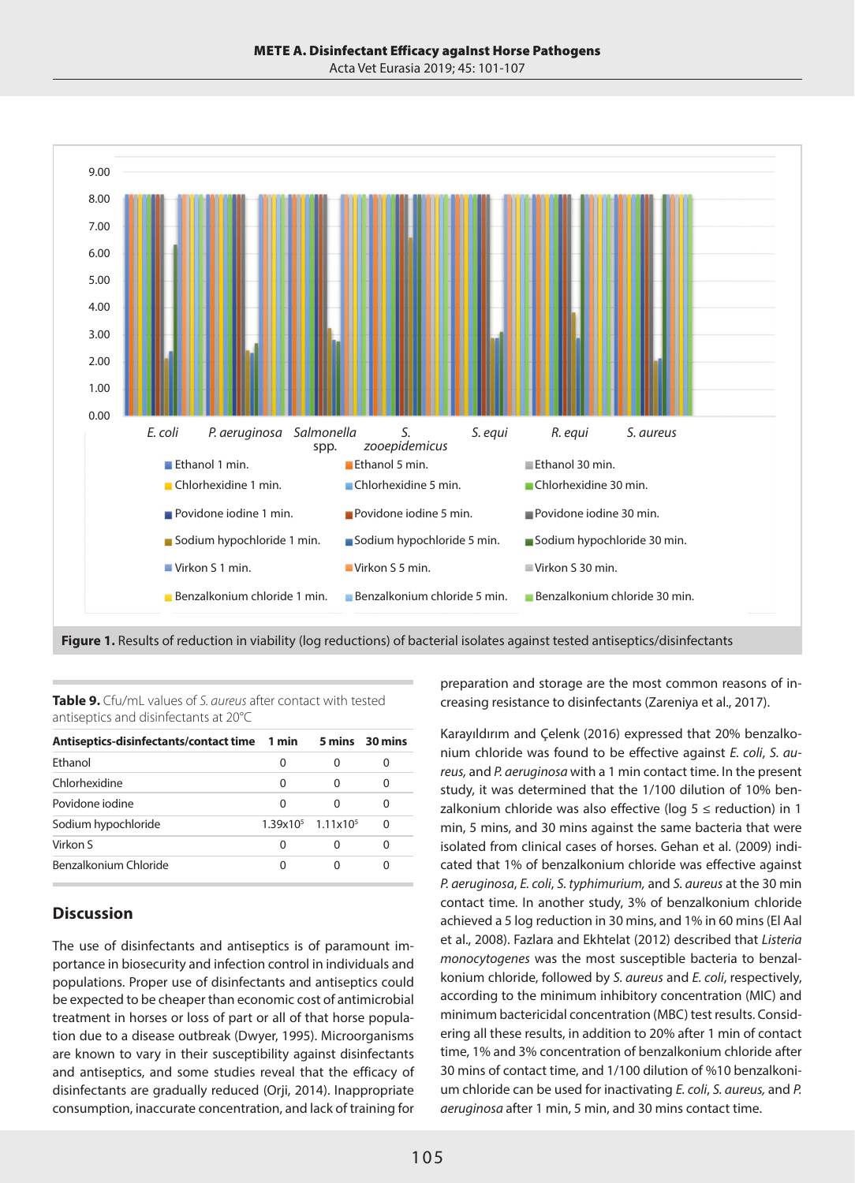Acta Vet Eurasia 2019; 45: 101-107



**Figure 1.** Results of reduction in viability (log reductions) of bacterial isolates against tested antiseptics/disinfectants

**Table 9.** Cfu/mL values of *S. aureus* after contact with tested antiseptics and disinfectants at 20°C

| Antiseptics-disinfectants/contact time 1 min |   |                                 | 5 mins 30 mins |
|----------------------------------------------|---|---------------------------------|----------------|
| Fthanol                                      | O | O                               |                |
| Chlorhexidine                                | 0 | 0                               |                |
| Povidone jodine                              | U | U                               |                |
| Sodium hypochloride                          |   | $1.39x105$ 1.11x10 <sup>5</sup> | ∩              |
| Virkon S                                     | O | O                               | 0              |
| Benzalkonium Chloride                        |   | O                               |                |

# **Discussion**

The use of disinfectants and antiseptics is of paramount importance in biosecurity and infection control in individuals and populations. Proper use of disinfectants and antiseptics could be expected to be cheaper than economic cost of antimicrobial treatment in horses or loss of part or all of that horse population due to a disease outbreak (Dwyer, 1995). Microorganisms are known to vary in their susceptibility against disinfectants and antiseptics, and some studies reveal that the efficacy of disinfectants are gradually reduced (Orji, 2014). Inappropriate consumption, inaccurate concentration, and lack of training for

preparation and storage are the most common reasons of increasing resistance to disinfectants (Zareniya et al., 2017).

Karayıldırım and Çelenk (2016) expressed that 20% benzalkonium chloride was found to be effective against *E. coli*, *S. aureus,* and *P. aeruginosa* with a 1 min contact time. In the present study, it was determined that the 1/100 dilution of 10% benzalkonium chloride was also effective (log  $5 \le$  reduction) in 1 min, 5 mins, and 30 mins against the same bacteria that were isolated from clinical cases of horses. Gehan et al. (2009) indicated that 1% of benzalkonium chloride was effective against *P. aeruginosa*, *E. coli*, *S. typhimurium,* and *S. aureus* at the 30 min contact time. In another study, 3% of benzalkonium chloride achieved a 5 log reduction in 30 mins, and 1% in 60 mins (El Aal et al., 2008). Fazlara and Ekhtelat (2012) described that *Listeria monocytogenes* was the most susceptible bacteria to benzalkonium chloride, followed by *S. aureus* and *E. coli*, respectively, according to the minimum inhibitory concentration (MIC) and minimum bactericidal concentration (MBC) test results. Considering all these results, in addition to 20% after 1 min of contact time, 1% and 3% concentration of benzalkonium chloride after 30 mins of contact time, and 1/100 dilution of %10 benzalkonium chloride can be used for inactivating *E. coli*, *S. aureus,* and *P. aeruginosa* after 1 min, 5 min, and 30 mins contact time.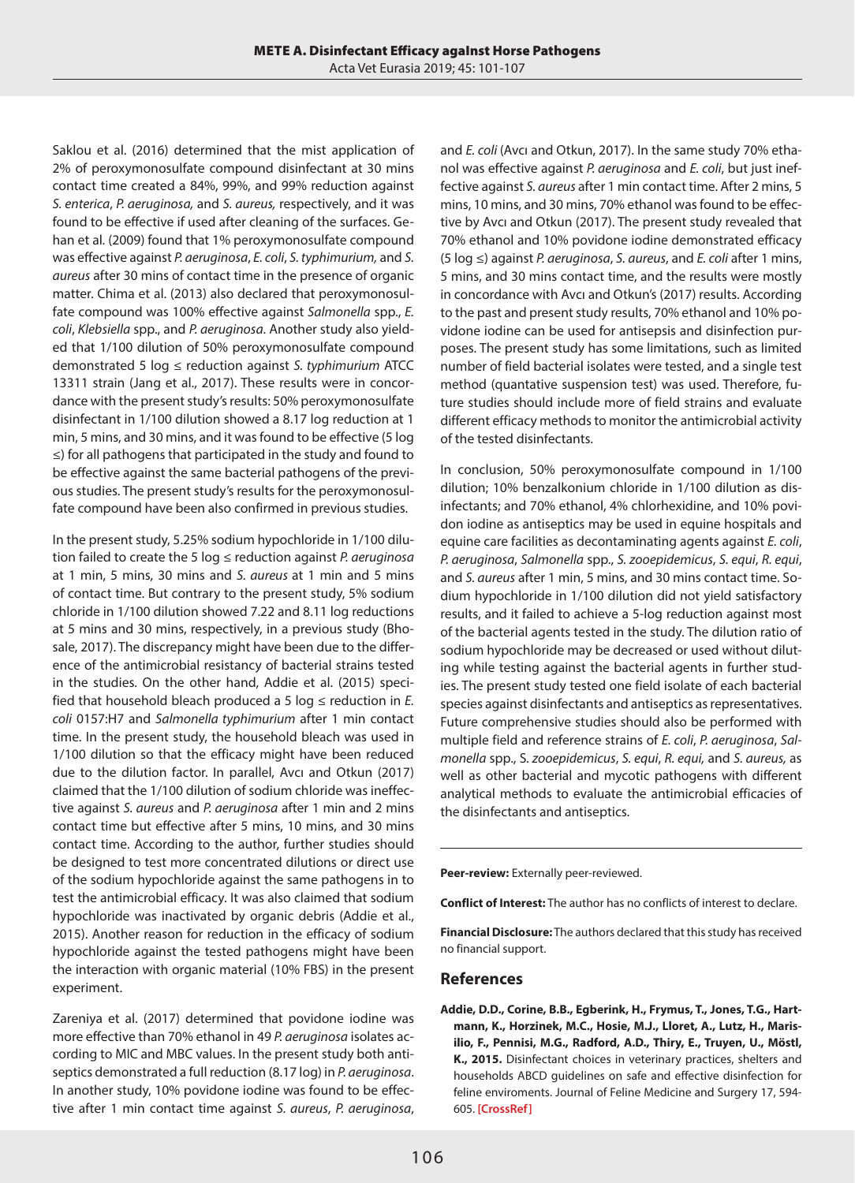Saklou et al. (2016) determined that the mist application of 2% of peroxymonosulfate compound disinfectant at 30 mins contact time created a 84%, 99%, and 99% reduction against *S. enterica*, *P. aeruginosa,* and *S. aureus,* respectively, and it was found to be effective if used after cleaning of the surfaces. Gehan et al. (2009) found that 1% peroxymonosulfate compound was effective against *P. aeruginosa*, *E. coli*, *S. typhimurium,* and *S. aureus* after 30 mins of contact time in the presence of organic matter. Chima et al. (2013) also declared that peroxymonosulfate compound was 100% effective against *Salmonella* spp., *E. coli*, *Klebsiella* spp., and *P. aeruginosa*. Another study also yielded that 1/100 dilution of 50% peroxymonosulfate compound demonstrated 5 log ≤ reduction against *S. typhimurium* ATCC 13311 strain (Jang et al., 2017). These results were in concordance with the present study's results: 50% peroxymonosulfate disinfectant in 1/100 dilution showed a 8.17 log reduction at 1 min, 5 mins, and 30 mins, and it was found to be effective (5 log ≤) for all pathogens that participated in the study and found to be effective against the same bacterial pathogens of the previous studies. The present study's results for the peroxymonosulfate compound have been also confirmed in previous studies.

In the present study, 5.25% sodium hypochloride in 1/100 dilution failed to create the 5 log ≤ reduction against *P. aeruginosa* at 1 min, 5 mins, 30 mins and *S. aureus* at 1 min and 5 mins of contact time. But contrary to the present study, 5% sodium chloride in 1/100 dilution showed 7.22 and 8.11 log reductions at 5 mins and 30 mins, respectively, in a previous study (Bhosale, 2017). The discrepancy might have been due to the difference of the antimicrobial resistancy of bacterial strains tested in the studies. On the other hand, Addie et al. (2015) specified that household bleach produced a 5 log ≤ reduction in *E. coli* 0157:H7 and *Salmonella typhimurium* after 1 min contact time. In the present study, the household bleach was used in 1/100 dilution so that the efficacy might have been reduced due to the dilution factor. In parallel, Avcı and Otkun (2017) claimed that the 1/100 dilution of sodium chloride was ineffective against *S. aureus* and *P. aeruginosa* after 1 min and 2 mins contact time but effective after 5 mins, 10 mins, and 30 mins contact time. According to the author, further studies should be designed to test more concentrated dilutions or direct use of the sodium hypochloride against the same pathogens in to test the antimicrobial efficacy. It was also claimed that sodium hypochloride was inactivated by organic debris (Addie et al., 2015). Another reason for reduction in the efficacy of sodium hypochloride against the tested pathogens might have been the interaction with organic material (10% FBS) in the present experiment.

Zareniya et al. (2017) determined that povidone iodine was more effective than 70% ethanol in 49 *P. aeruginosa* isolates according to MIC and MBC values. In the present study both antiseptics demonstrated a full reduction (8.17 log) in *P. aeruginosa*. In another study, 10% povidone iodine was found to be effective after 1 min contact time against *S. aureus*, *P. aeruginosa*, and *E. coli* (Avcı and Otkun, 2017). In the same study 70% ethanol was effective against *P. aeruginosa* and *E. coli*, but just ineffective against *S. aureus* after 1 min contact time. After 2 mins, 5 mins, 10 mins, and 30 mins, 70% ethanol was found to be effective by Avcı and Otkun (2017). The present study revealed that 70% ethanol and 10% povidone iodine demonstrated efficacy (5 log ≤) against *P. aeruginosa*, *S. aureus*, and *E. coli* after 1 mins, 5 mins, and 30 mins contact time, and the results were mostly in concordance with Avcı and Otkun's (2017) results. According to the past and present study results, 70% ethanol and 10% povidone iodine can be used for antisepsis and disinfection purposes. The present study has some limitations, such as limited number of field bacterial isolates were tested, and a single test method (quantative suspension test) was used. Therefore, future studies should include more of field strains and evaluate different efficacy methods to monitor the antimicrobial activity of the tested disinfectants.

In conclusion, 50% peroxymonosulfate compound in 1/100 dilution; 10% benzalkonium chloride in 1/100 dilution as disinfectants; and 70% ethanol, 4% chlorhexidine, and 10% povidon iodine as antiseptics may be used in equine hospitals and equine care facilities as decontaminating agents against *E. coli*, *P. aeruginosa*, *Salmonella* spp., *S. zooepidemicus*, *S. equi*, *R. equi*, and *S. aureus* after 1 min, 5 mins, and 30 mins contact time. Sodium hypochloride in 1/100 dilution did not yield satisfactory results, and it failed to achieve a 5-log reduction against most of the bacterial agents tested in the study. The dilution ratio of sodium hypochloride may be decreased or used without diluting while testing against the bacterial agents in further studies. The present study tested one field isolate of each bacterial species against disinfectants and antiseptics as representatives. Future comprehensive studies should also be performed with multiple field and reference strains of *E. coli*, *P. aeruginosa*, *Salmonella* spp., S*. zooepidemicus*, *S. equi*, *R. equi,* and *S. aureus,* as well as other bacterial and mycotic pathogens with different analytical methods to evaluate the antimicrobial efficacies of the disinfectants and antiseptics.

**Peer-review:** Externally peer-reviewed.

**Conflict of Interest:** The author has no conflicts of interest to declare.

**Financial Disclosure:** The authors declared that this study has received no financial support.

## **References**

**Addie, D.D., Corine, B.B., Egberink, H., Frymus, T., Jones, T.G., Hartmann, K., Horzinek, M.C., Hosie, M.J., Lloret, A., Lutz, H., Marisilio, F., Pennisi, M.G., Radford, A.D., Thiry, E., Truyen, U., Möstl, K., 2015.** Disinfectant choices in veterinary practices, shelters and households ABCD guidelines on safe and effective disinfection for feline enviroments. Journal of Feline Medicine and Surgery 17, 594- 605. **[\[CrossRef\]](https://doi.org/10.1177/1098612X15588450)**